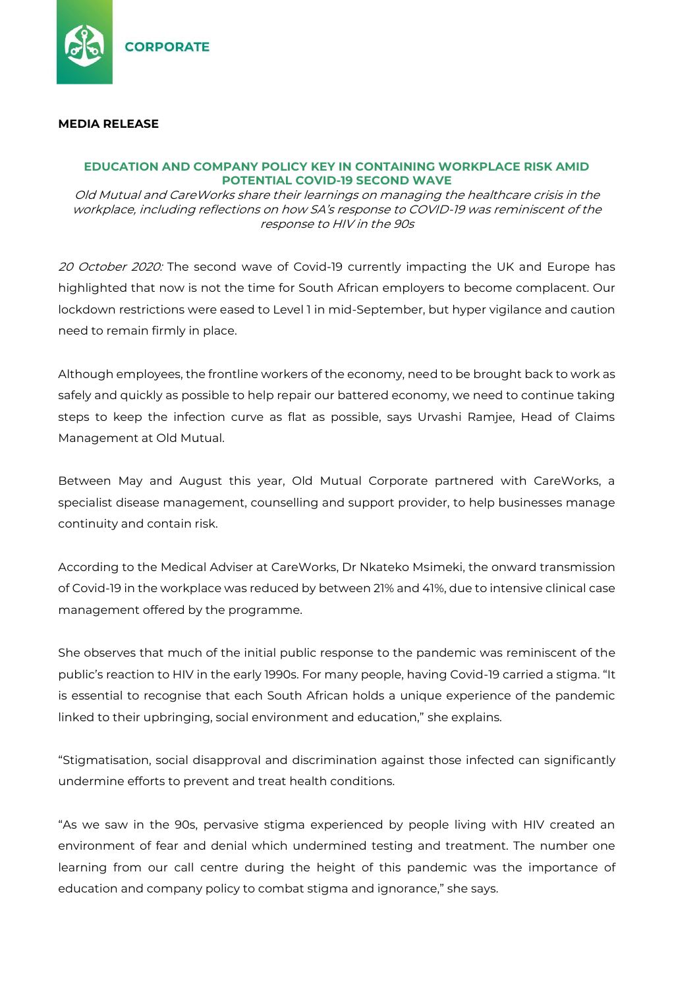

#### **MEDIA RELEASE**

#### **EDUCATION AND COMPANY POLICY KEY IN CONTAINING WORKPLACE RISK AMID POTENTIAL COVID-19 SECOND WAVE**

Old Mutual and CareWorks share their learnings on managing the healthcare crisis in the workplace, including reflections on how SA's response to COVID-19 was reminiscent of the response to HIV in the 90s

20 October 2020: The second wave of Covid-19 currently impacting the UK and Europe has highlighted that now is not the time for South African employers to become complacent. Our lockdown restrictions were eased to Level 1 in mid-September, but hyper vigilance and caution need to remain firmly in place.

Although employees, the frontline workers of the economy, need to be brought back to work as safely and quickly as possible to help repair our battered economy, we need to continue taking steps to keep the infection curve as flat as possible, says Urvashi Ramjee, Head of Claims Management at Old Mutual.

Between May and August this year, Old Mutual Corporate partnered with CareWorks, a specialist disease management, counselling and support provider, to help businesses manage continuity and contain risk.

According to the Medical Adviser at CareWorks, Dr Nkateko Msimeki, the onward transmission of Covid-19 in the workplace was reduced by between 21% and 41%, due to intensive clinical case management offered by the programme.

She observes that much of the initial public response to the pandemic was reminiscent of the public's reaction to HIV in the early 1990s. For many people, having Covid-19 carried a stigma. "It is essential to recognise that each South African holds a unique experience of the pandemic linked to their upbringing, social environment and education," she explains.

"Stigmatisation, social disapproval and discrimination against those infected can significantly undermine efforts to prevent and treat health conditions.

"As we saw in the 90s, pervasive stigma experienced by people living with HIV created an environment of fear and denial which undermined testing and treatment. The number one learning from our call centre during the height of this pandemic was the importance of education and company policy to combat stigma and ignorance," she says.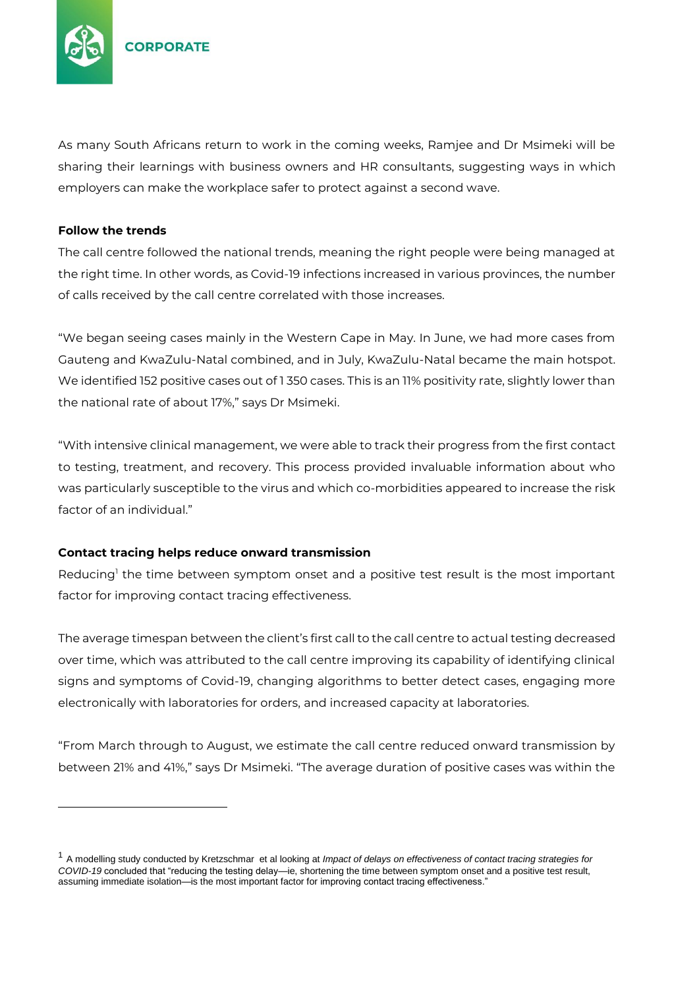

As many South Africans return to work in the coming weeks, Ramjee and Dr Msimeki will be sharing their learnings with business owners and HR consultants, suggesting ways in which employers can make the workplace safer to protect against a second wave.

## **Follow the trends**

 $\ddot{\phantom{a}}$ 

The call centre followed the national trends, meaning the right people were being managed at the right time. In other words, as Covid-19 infections increased in various provinces, the number of calls received by the call centre correlated with those increases.

"We began seeing cases mainly in the Western Cape in May. In June, we had more cases from Gauteng and KwaZulu-Natal combined, and in July, KwaZulu-Natal became the main hotspot. We identified 152 positive cases out of 1 350 cases. This is an 11% positivity rate, slightly lower than the national rate of about 17%," says Dr Msimeki.

"With intensive clinical management, we were able to track their progress from the first contact to testing, treatment, and recovery. This process provided invaluable information about who was particularly susceptible to the virus and which co-morbidities appeared to increase the risk factor of an individual."

# **Contact tracing helps reduce onward transmission**

Reducing<sup>1</sup> the time between symptom onset and a positive test result is the most important factor for improving contact tracing effectiveness.

The average timespan between the client's first call to the call centre to actual testing decreased over time, which was attributed to the call centre improving its capability of identifying clinical signs and symptoms of Covid-19, changing algorithms to better detect cases, engaging more electronically with laboratories for orders, and increased capacity at laboratories.

"From March through to August, we estimate the call centre reduced onward transmission by between 21% and 41%," says Dr Msimeki. "The average duration of positive cases was within the

<sup>1</sup> A modelling study conducted by Kretzschmar et al looking at *Impact of delays on effectiveness of contact tracing strategies for COVID-19* concluded that "reducing the testing delay—ie, shortening the time between symptom onset and a positive test result, assuming immediate isolation—is the most important factor for improving contact tracing effectiveness."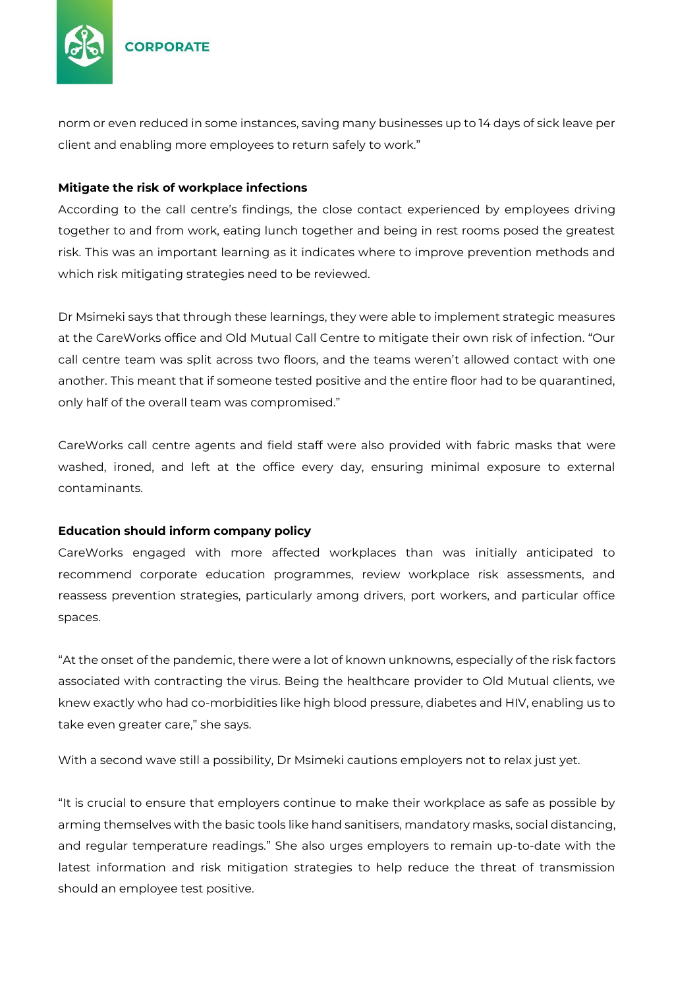

norm or even reduced in some instances, saving many businesses up to 14 days of sick leave per client and enabling more employees to return safely to work."

# **Mitigate the risk of workplace infections**

According to the call centre's findings, the close contact experienced by employees driving together to and from work, eating lunch together and being in rest rooms posed the greatest risk. This was an important learning as it indicates where to improve prevention methods and which risk mitigating strategies need to be reviewed.

Dr Msimeki says that through these learnings, they were able to implement strategic measures at the CareWorks office and Old Mutual Call Centre to mitigate their own risk of infection. "Our call centre team was split across two floors, and the teams weren't allowed contact with one another. This meant that if someone tested positive and the entire floor had to be quarantined, only half of the overall team was compromised."

CareWorks call centre agents and field staff were also provided with fabric masks that were washed, ironed, and left at the office every day, ensuring minimal exposure to external contaminants.

#### **Education should inform company policy**

CareWorks engaged with more affected workplaces than was initially anticipated to recommend corporate education programmes, review workplace risk assessments, and reassess prevention strategies, particularly among drivers, port workers, and particular office spaces.

"At the onset of the pandemic, there were a lot of known unknowns, especially of the risk factors associated with contracting the virus. Being the healthcare provider to Old Mutual clients, we knew exactly who had co-morbidities like high blood pressure, diabetes and HIV, enabling us to take even greater care," she says.

With a second wave still a possibility, Dr Msimeki cautions employers not to relax just yet.

"It is crucial to ensure that employers continue to make their workplace as safe as possible by arming themselves with the basic tools like hand sanitisers, mandatory masks, social distancing, and regular temperature readings." She also urges employers to remain up-to-date with the latest information and risk mitigation strategies to help reduce the threat of transmission should an employee test positive.